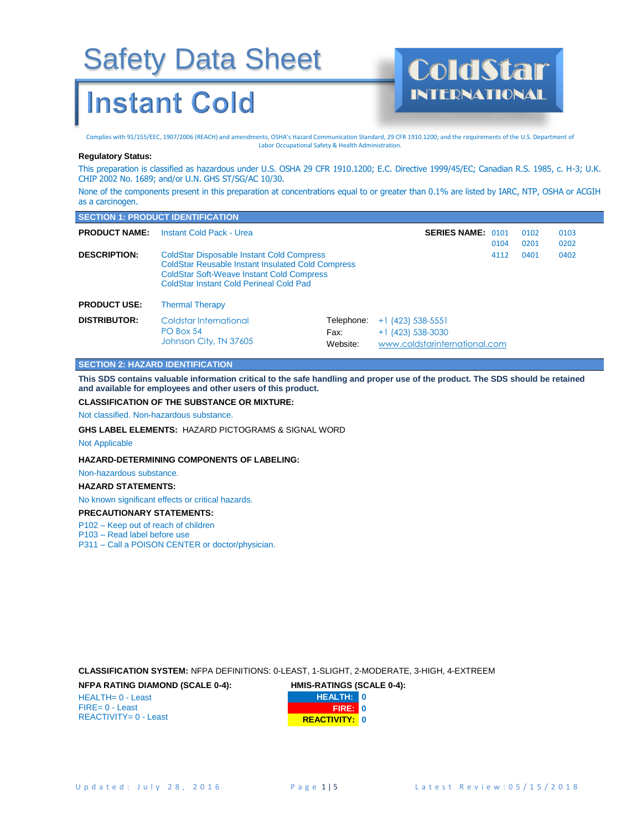### **Instant Cold**

Complies with 91/155/EEC, 1907/2006 (REACH) and amendments, OSHA's Hazard Communication Standard, 29 CFR 1910.1200; and the requirements of the U.S. Department of Labor Occupational Safety & Health Administration.

INTERNATIONAL

#### **Regulatory Status:**

This preparation is classified as hazardous under U.S. OSHA 29 CFR 1910.1200; E.C. Directive 1999/45/EC; Canadian R.S. 1985, c. H-3; U.K. CHIP 2002 No. 1689; and/or U.N. GHS ST/SG/AC 10/30.

None of the components present in this preparation at concentrations equal to or greater than 0.1% are listed by IARC, NTP, OSHA or ACGIH as a carcinogen.

|                      | <b>SECTION 1: PRODUCT IDENTIFICATION</b>                                                                                                                                                                           |                                |                                                                             |      |              |              |  |
|----------------------|--------------------------------------------------------------------------------------------------------------------------------------------------------------------------------------------------------------------|--------------------------------|-----------------------------------------------------------------------------|------|--------------|--------------|--|
| <b>PRODUCT NAME:</b> | Instant Cold Pack - Urea                                                                                                                                                                                           |                                | <b>SERIES NAME: 0101</b>                                                    | 0104 | 0102<br>0201 | 0103<br>0202 |  |
| <b>DESCRIPTION:</b>  | <b>ColdStar Disposable Instant Cold Compress</b><br><b>ColdStar Reusable Instant Insulated Cold Compress</b><br><b>ColdStar Soft-Weave Instant Cold Compress</b><br><b>ColdStar Instant Cold Perineal Cold Pad</b> |                                |                                                                             | 4112 | 0401         | 0402         |  |
| <b>PRODUCT USE:</b>  | <b>Thermal Therapy</b>                                                                                                                                                                                             |                                |                                                                             |      |              |              |  |
| <b>DISTRIBUTOR:</b>  | Coldstar International<br>PO Box 54<br>Johnson City, TN 37605                                                                                                                                                      | Telephone:<br>Fax:<br>Website: | $+1$ (423) 538-5551<br>$+1$ (423) 538-3030<br>www.coldstarinternational.com |      |              |              |  |

#### **SECTION 2: HAZARD IDENTIFICATION**

**This SDS contains valuable information critical to the safe handling and proper use of the product. The SDS should be retained and available for employees and other users of this product.**

#### **CLASSIFICATION OF THE SUBSTANCE OR MIXTURE:**

Not classified. Non-hazardous substance.

**GHS LABEL ELEMENTS:** HAZARD PICTOGRAMS & SIGNAL WORD

Not Applicable

#### **HAZARD-DETERMINING COMPONENTS OF LABELING:**

Non-hazardous substance.

#### **HAZARD STATEMENTS:**

No known significant effects or critical hazards.

**PRECAUTIONARY STATEMENTS:**

P102 – Keep out of reach of children

P103 – Read label before use

P311 – Call a POISON CENTER or doctor/physician.

**CLASSIFICATION SYSTEM:** NFPA DEFINITIONS: 0-LEAST, 1-SLIGHT, 2-MODERATE, 3-HIGH, 4-EXTREEM

**NFPA RATING DIAMOND (SCALE 0-4):** 

HEALTH= 0 - Least FIRE= 0 - Least REACTIVITY= 0 - Least

| <b>HMIS-RATINGS (SCALE 0-4):</b> |                      |  |
|----------------------------------|----------------------|--|
|                                  | <b>HEALTH: 0</b>     |  |
|                                  | <b>FRED</b> 0        |  |
|                                  | <b>REACTIVITY: 0</b> |  |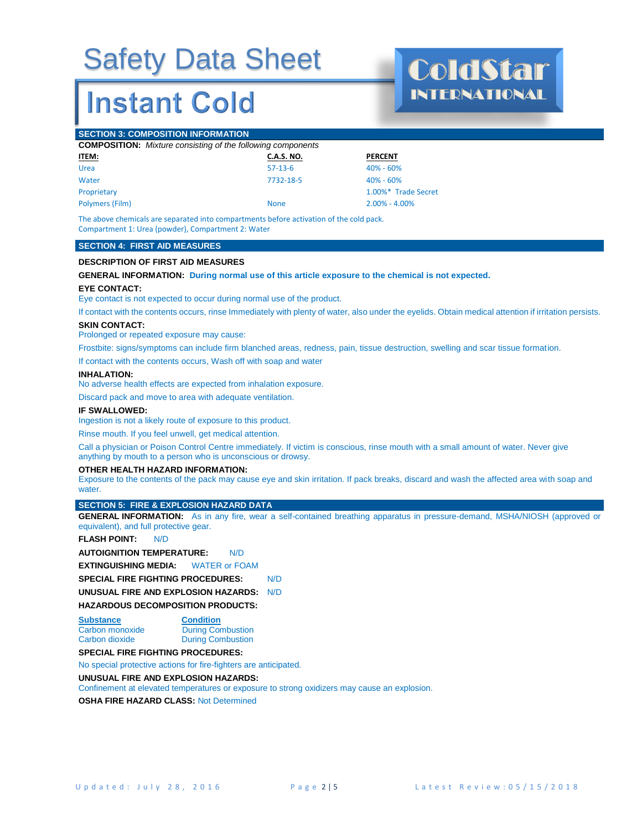### **Instant Cold**

INTERNATIONAL

#### **SECTION 3: COMPOSITION INFORMATION**

|              | <b>COMPOSITION:</b> Mixture consisting of the following components |                |  |
|--------------|--------------------------------------------------------------------|----------------|--|
| <u>ITEM:</u> | C.A.S. NO.                                                         | <b>PERCENT</b> |  |
| Urea         | $57-13-6$                                                          | 40% - 60%      |  |

Water 2008 - 2009 12:00 12:00 12:00 12:00 12:00 12:00 12:00 12:00 12:00 12:00 12:00 12:00 12:00 12:00 12:00 12:00 12:00 12:00 12:00 12:00 12:00 12:00 12:00 12:00 12:00 12:00 12:00 12:00 12:00 12:00 12:00 12:00 12:00 12:00 Proprietary 2.00%\* Trade Secret Polymers (Film) None 2.00% - 4.00%

The above chemicals are separated into compartments before activation of the cold pack. Compartment 1: Urea (powder), Compartment 2: Water

#### **SECTION 4: FIRST AID MEASURES**

#### **DESCRIPTION OF FIRST AID MEASURES**

**GENERAL INFORMATION: During normal use of this article exposure to the chemical is not expected.** 

#### **EYE CONTACT:**

Eye contact is not expected to occur during normal use of the product.

If contact with the contents occurs, rinse Immediately with plenty of water, also under the eyelids. Obtain medical attention if irritation persists.

#### **SKIN CONTACT:**

Prolonged or repeated exposure may cause:

Frostbite: signs/symptoms can include firm blanched areas, redness, pain, tissue destruction, swelling and scar tissue formation.

If contact with the contents occurs, Wash off with soap and water

#### **INHALATION**

No adverse health effects are expected from inhalation exposure.

Discard pack and move to area with adequate ventilation.

#### **IF SWALLOWED:**

Ingestion is not a likely route of exposure to this product.

Rinse mouth. If you feel unwell, get medical attention.

Call a physician or Poison Control Centre immediately. If victim is conscious, rinse mouth with a small amount of water. Never give anything by mouth to a person who is unconscious or drowsy.

#### **OTHER HEALTH HAZARD INFORMATION:**

Exposure to the contents of the pack may cause eye and skin irritation. If pack breaks, discard and wash the affected area with soap and water

#### **SECTION 5: FIRE & EXPLOSION HAZARD DATA**

**GENERAL INFORMATION:** As in any fire, wear a self-contained breathing apparatus in pressure-demand, MSHA/NIOSH (approved or equivalent), and full protective gear.

#### **FLASH POINT:** N/D

**AUTOIGNITION TEMPERATURE:** N/D

**EXTINGUISHING MEDIA:** WATER or FOAM

**SPECIAL FIRE FIGHTING PROCEDURES:** N/D

**UNUSUAL FIRE AND EXPLOSION HAZARDS:** N/D

#### **HAZARDOUS DECOMPOSITION PRODUCTS:**

**Substance Condition**

**Carbon monoxide During Combustion**<br> **Carbon dioxide During Combustion During Combustion** 

#### **SPECIAL FIRE FIGHTING PROCEDURES:**

No special protective actions for fire-fighters are anticipated.

#### **UNUSUAL FIRE AND EXPLOSION HAZARDS:**

Confinement at elevated temperatures or exposure to strong oxidizers may cause an explosion.

**OSHA FIRE HAZARD CLASS:** Not Determined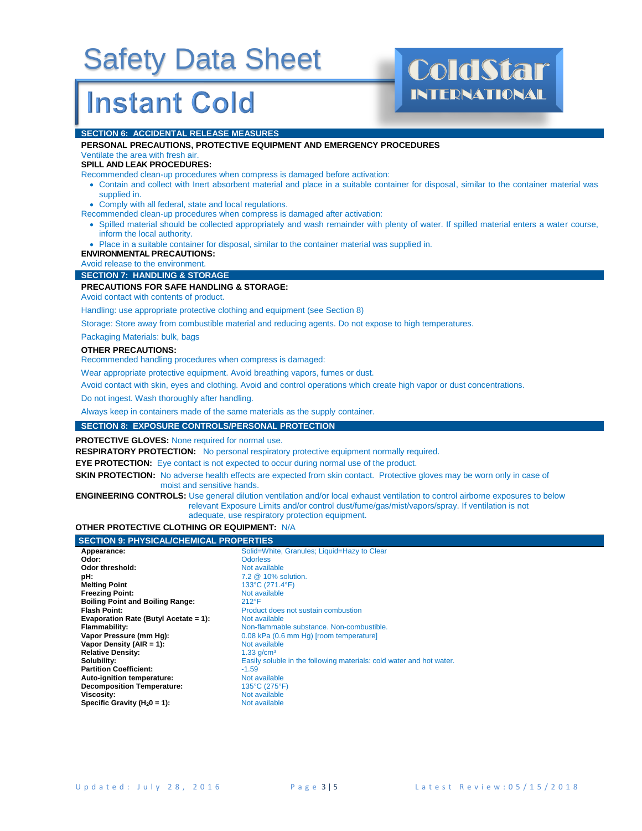### **Instant Cold**

# INTERNATIONAL

#### **SECTION 6: ACCIDENTAL RELEASE MEASURES**

#### **PERSONAL PRECAUTIONS, PROTECTIVE EQUIPMENT AND EMERGENCY PROCEDURES** Ventilate the area with fresh air.

#### **SPILL AND LEAK PROCEDURES:**

Recommended clean-up procedures when compress is damaged before activation:

- Contain and collect with Inert absorbent material and place in a suitable container for disposal, similar to the container material was supplied in.
- Comply with all federal, state and local regulations.

Recommended clean-up procedures when compress is damaged after activation:

• Spilled material should be collected appropriately and wash remainder with plenty of water. If spilled material enters a water course, inform the local authority.

• Place in a suitable container for disposal, similar to the container material was supplied in.

#### **ENVIRONMENTAL PRECAUTIONS:**

Avoid release to the environment.

#### **SECTION 7: HANDLING & STORAGE**

#### **PRECAUTIONS FOR SAFE HANDLING & STORAGE:**

Avoid contact with contents of product.

Handling: use appropriate protective clothing and equipment (see Section 8)

Storage: Store away from combustible material and reducing agents. Do not expose to high temperatures.

Packaging Materials: bulk, bags

#### **OTHER PRECAUTIONS:**

Recommended handling procedures when compress is damaged:

Wear appropriate protective equipment. Avoid breathing vapors, fumes or dust.

Avoid contact with skin, eyes and clothing. Avoid and control operations which create high vapor or dust concentrations.

Do not ingest. Wash thoroughly after handling.

Always keep in containers made of the same materials as the supply container.

#### **SECTION 8: EXPOSURE CONTROLS/PERSONAL PROTECTION**

**PROTECTIVE GLOVES:** None required for normal use.

**RESPIRATORY PROTECTION:** No personal respiratory protective equipment normally required.

**EYE PROTECTION:** Eye contact is not expected to occur during normal use of the product.

**SKIN PROTECTION:** No adverse health effects are expected from skin contact. Protective gloves may be worn only in case of moist and sensitive hands.

**ENGINEERING CONTROLS:** Use general dilution ventilation and/or local exhaust ventilation to control airborne exposures to below relevant Exposure Limits and/or control dust/fume/gas/mist/vapors/spray. If ventilation is not adequate, use respiratory protection equipment.

#### **OTHER PROTECTIVE CLOTHING OR EQUIPMENT:** N/A

| <b>SECTION 9: PHYSICAL/CHEMICAL PROPERTIES</b> |                                                                      |
|------------------------------------------------|----------------------------------------------------------------------|
| Appearance:                                    | Solid=White, Granules; Liquid=Hazy to Clear                          |
| Odor:                                          | <b>Odorless</b>                                                      |
| Odor threshold:                                | Not available                                                        |
| pH:                                            | 7.2 @ 10% solution.                                                  |
| <b>Melting Point</b>                           | 133°C (271.4°F)                                                      |
| <b>Freezing Point:</b>                         | Not available                                                        |
| <b>Boiling Point and Boiling Range:</b>        | $212^{\circ}F$                                                       |
| <b>Flash Point:</b>                            | Product does not sustain combustion                                  |
| Evaporation Rate (Butyl Acetate = 1):          | Not available                                                        |
| Flammability:                                  | Non-flammable substance. Non-combustible.                            |
| Vapor Pressure (mm Hg):                        | 0.08 kPa (0.6 mm Hg) [room temperature]                              |
| Vapor Density (AIR = 1):                       | Not available                                                        |
| <b>Relative Density:</b>                       | $1.33$ g/cm <sup>3</sup>                                             |
| Solubility:                                    | Easily soluble in the following materials: cold water and hot water. |
| <b>Partition Coefficient:</b>                  | $-1.59$                                                              |
| Auto-ignition temperature:                     | Not available                                                        |
| <b>Decomposition Temperature:</b>              | $135^{\circ}$ C (275 $^{\circ}$ F)                                   |
| Viscosity:                                     | Not available                                                        |
| Specific Gravity ( $H_20 = 1$ ):               | Not available                                                        |
|                                                |                                                                      |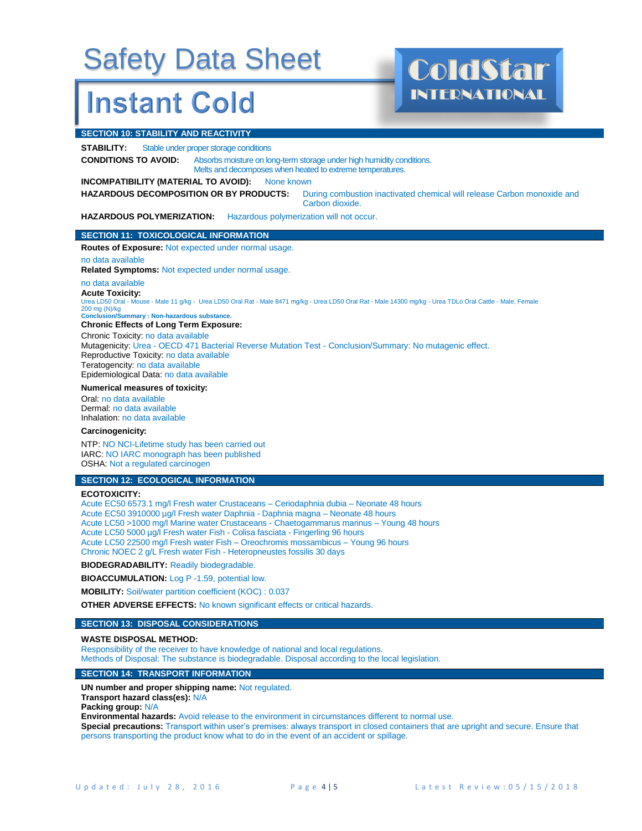### **Instant Cold**

#### **SECTION 10: STABILITY AND REACTIVITY**

**STABILITY:** Stable under proper storage conditions

**CONDITIONS TO AVOID:** Absorbs moisture on long-term storage under high humidity conditions. Melts and decomposes when heated to extreme temperatures.

#### **INCOMPATIBILITY (MATERIAL TO AVOID):** None known

**HAZARDOUS DECOMPOSITION OR BY PRODUCTS:** During combustion inactivated chemical will release Carbon monoxide and Carbon dioxide.

INTERNATIONAL

**HAZARDOUS POLYMERIZATION:** Hazardous polymerization will not occur.

#### **SECTION 11: TOXICOLOGICAL INFORMATION**

**Routes of Exposure:** Not expected under normal usage.

#### no data available

**Related Symptoms:** Not expected under normal usage.

#### no data available

**Acute Toxicity:**

Urea LD50 Oral - Mouse - Male 11 g/kg - Urea LD50 Oral Rat - Male 8471 mg/kg - Urea LD50 Oral Rat - Male 14300 mg/kg - Urea TDLo Oral Cattle - Male, Female 200 mg (N)/kg **Conclusion/Summary : Non-hazardous substance.**

#### **Chronic Effects of Long Term Exposure:**

Chronic Toxicity: no data available Mutagenicity: Urea - OECD 471 Bacterial Reverse Mutation Test - Conclusion/Summary: No mutagenic effect. Reproductive Toxicity: no data available Teratogencity: no data available Epidemiological Data: no data available

#### **Numerical measures of toxicity:**

Oral: no data available Dermal: no data available Inhalation: no data available

#### **Carcinogenicity:**

NTP: NO NCI-Lifetime study has been carried out IARC: NO IARC monograph has been published OSHA: Not a regulated carcinogen

#### **SECTION 12: ECOLOGICAL INFORMATION**

#### **ECOTOXICITY:**

Acute EC50 6573.1 mg/l Fresh water Crustaceans – Ceriodaphnia dubia – Neonate 48 hours Acute EC50 3910000 µg/l Fresh water Daphnia - Daphnia magna – Neonate 48 hours Acute LC50 >1000 mg/l Marine water Crustaceans - Chaetogammarus marinus – Young 48 hours Acute LC50 5000 µg/l Fresh water Fish - Colisa fasciata - Fingerling 96 hours Acute LC50 22500 mg/l Fresh water Fish – Oreochromis mossambicus – Young 96 hours Chronic NOEC 2 g/L Fresh water Fish - Heteropneustes fossilis 30 days

**BIODEGRADABILITY:** Readily biodegradable.

**BIOACCUMULATION:** Log P -1.59, potential low.

**MOBILITY:** Soil/water partition coefficient (KOC) : 0.037

**OTHER ADVERSE EFFECTS:** No known significant effects or critical hazards.

#### **SECTION 13: DISPOSAL CONSIDERATIONS**

#### **WASTE DISPOSAL METHOD:**

Responsibility of the receiver to have knowledge of national and local regulations.

Methods of Disposal: The substance is biodegradable. Disposal according to the local legislation.

#### **SECTION 14: TRANSPORT INFORMATION**

**UN number and proper shipping name:** Not regulated.

**Transport hazard class(es):** N/A

**Packing group:** N/A

**Environmental hazards:** Avoid release to the environment in circumstances different to normal use.

**Special precautions:** Transport within user's premises: always transport in closed containers that are upright and secure. Ensure that persons transporting the product know what to do in the event of an accident or spillage.